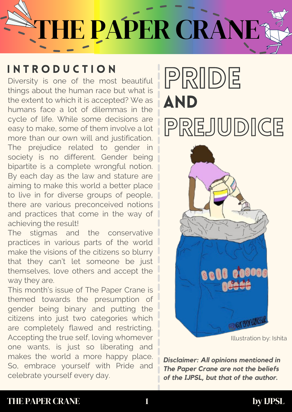# **STHE PAPER CRANE?**

Diversity is one of the most beautiful things about the human race but what is the extent to which it is accepted? We as humans face a lot of dilemmas in the cycle of life. While some decisions are easy to make, some of them involve a lot more than our own will and justification. The prejudice related to gender in society is no different. Gender being bipartite is a complete wrongful notion. By each day as the law and stature are aiming to make this world a better place to live in for diverse groups of people, there are various preconceived notions and practices that come in the way of achieving the result!

The stigmas and the conservative practices in various parts of the world make the visions of the citizens so blurry that they can't let someone be just themselves, love others and accept the way they are.

This month's issue of The Paper Crane is themed towards the presumption of gender being binary and putting the citizens into just two categories which are completely flawed and restricting. Accepting the true self, loving whomever one wants, is just so liberating and makes the world a more happy place. So, embrace yourself with Pride and celebrate yourself every day.

## INTRODUCTION<br>Diversity is one of the most beautiful PRIDE AND PREJUDICE



Illustration by: Ishita

*Disclaimer: All opinions mentioned in The Paper Crane are not the beliefs of the IJPSL, but that of the author.*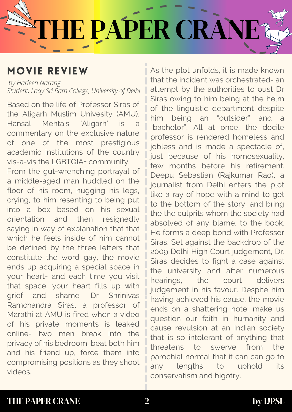# THE PAPER CRANE

### MOVIE REVIEW

*by Harleen Narang Student, Lady Sri Ram College, University of Delhi*

Based on the life of Professor Siras of the Aligarh Muslim Univesity (AMU), Hansal Mehta's 'Aligarh' is a commentary on the exclusive nature of one of the most prestigious academic institutions of the country vis-a-vis the LGBTQIA+ community. From the gut-wrenching portrayal of a middle-aged man huddled on the floor of his room, hugging his legs, crying, to him resenting to being put into a box based on his sexual orientation and then resignedly saying in way of explanation that that which he feels inside of him cannot be defined by the three letters that constitute the word gay, the movie ends up acquiring a special space in your heart- and each time you visit that space, your heart fills up with grief and shame. Dr Shrinivas Ramchandra Siras, a professor of Marathi at AMU is fired when a video of his private moments is leaked online- two men break into the privacy of his bedroom, beat both him and his friend up, force them into compromising positions as they shoot videos.

As the plot unfolds, it is made known that the incident was orchestrated- an attempt by the authorities to oust Dr Siras owing to him being at the helm of the linguistic department despite him being an "outsider" and a "bachelor". All at once, the docile professor is rendered homeless and jobless and is made a spectacle of, just because of his homosexuality, few months before his retirement. Deepu Sebastian (Rajkumar Rao), a journalist from Delhi enters the plot like a ray of hope with a mind to get to the bottom of the story, and bring the the culprits whom the society had absolved of any blame, to the book. He forms a deep bond with Professor Siras. Set against the backdrop of the 2009 Delhi High Court judgement, Dr. Siras decides to fight a case against the university and after numerous hearings, the court delivers judgement in his favour. Despite him having achieved his cause, the movie ends on a shattering note, make us question our faith in humanity and cause revulsion at an Indian society that is so intolerant of anything that threatens to swerve from the parochial normal that it can can go to any lengths to uphold its conservatism and bigotry.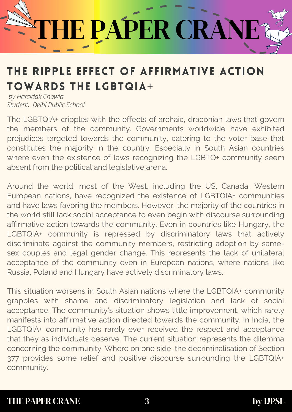# IE PAPER CRAN

## THE RIPPLE EFFECT OF AFFIRMATIVE ACTION TOWARDS THE LGBTQIA+

*by Harsidak Chawla Student, Delhi Public School*

The LGBTQIA+ cripples with the effects of archaic, draconian laws that govern the members of the community. Governments worldwide have exhibited prejudices targeted towards the community, catering to the voter base that constitutes the majority in the country. Especially in South Asian countries where even the existence of laws recognizing the LGBTQ+ community seem absent from the political and legislative arena.

Around the world, most of the West, including the US, Canada, Western European nations, have recognized the existence of LGBTQIA+ communities and have laws favoring the members. However, the majority of the countries in the world still lack social acceptance to even begin with discourse surrounding affirmative action towards the community. Even in countries like Hungary, the LGBTQIA+ community is repressed by discriminatory laws that actively discriminate against the community members, restricting adoption by samesex couples and legal gender change. This represents the lack of unilateral acceptance of the community even in European nations, where nations like Russia, Poland and Hungary have actively discriminatory laws.

This situation worsens in South Asian nations where the LGBTQIA+ community grapples with shame and discriminatory legislation and lack of social acceptance. The community's situation shows little improvement, which rarely manifests into affirmative action directed towards the community. In India, the LGBTQIA+ community has rarely ever received the respect and acceptance that they as individuals deserve. The current situation represents the dilemma concerning the community. Where on one side, the decriminalisation of Section 377 provides some relief and positive discourse surrounding the LGBTQIA+ community.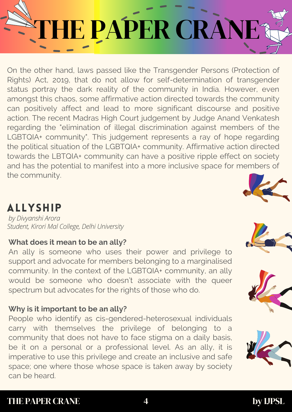# IE PAPER CRANI

On the other hand, laws passed like the Transgender Persons (Protection of Rights) Act, 2019, that do not allow for self-determination of transgender status portray the dark reality of the community in India. However, even amongst this chaos, some affirmative action directed towards the community can positively affect and lead to more significant discourse and positive action. The recent Madras High Court judgement by Judge Anand Venkatesh regarding the "elimination of illegal discrimination against members of the LGBTQIA+ community". This judgement represents a ray of hope regarding the political situation of the LGBTQIA+ community. Affirmative action directed towards the LBTQIA+ community can have a positive ripple effect on society and has the potential to manifest into a more inclusive space for members of the community.

### ALLYSHIP

*by Divyanshi Arora Student, Kirori Mal College, Delhi University*

#### **What does it mean to be an ally?**

An ally is someone who uses their power and privilege to support and advocate for members belonging to a marginalised community. In the context of the LGBTQIA+ community, an ally would be someone who doesn't associate with the queer spectrum but advocates for the rights of those who do.

#### **Why is it important to be an ally?**

People who identify as cis-gendered-heterosexual individuals carry with themselves the privilege of belonging to a community that does not have to face stigma on a daily basis, be it on a personal or a professional level. As an ally, it is imperative to use this privilege and create an inclusive and safe space; one where those whose space is taken away by society can be heard.







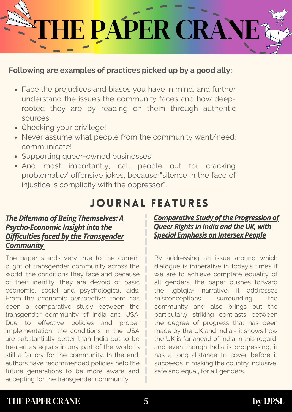

#### **Following are examples of practices picked up by a good ally:**

- Face the prejudices and biases you have in mind, and further understand the issues the community faces and how deeprooted they are by reading on them through authentic sources
- Checking your privilege!
- Never assume what people from the community want/need; communicate!
- Supporting queer-owned businesses
- And most importantly, call people out for cracking problematic/ offensive jokes, because "silence in the face of injustice is complicity with the oppressor".

### JOURNAL FEATURES

#### *The Dilemma of Being Themselves: A Psycho-Economic Insight into the Difficulties faced by the Transgender Community*

The paper stands very true to the current plight of transgender community across the world, the conditions they face and because of their identity, they are devoid of basic economic, social and psychological aids. From the economic perspective, there has been a comparative study between the transgender community of India and USA. Due to effective policies and proper implementation, the conditions in the USA are substantially better than India but to be treated as equals in any part of the world is still a far cry for the community. In the end, authors have recommended policies help the future generations to be more aware and accepting for the transgender community.

#### *Comparative Study of the Progression of Queer Rights in India and theUK, with Special Emphasis on Intersex People*

By addressing an issue around which dialogue is imperative in today's times if we are to achieve complete equality of all genders, the paper pushes forward the lgbtqia+ narrative. it addresses misconceptions surrounding the community and also brings out the particularly striking contrasts between the degree of progress that has been made by the UK and India - it shows how the UK is far ahead of India in this regard, and even though India is progressing, it has a long distance to cover before it succeeds in making the country inclusive, safe and equal, for all genders.

#### THE PAPER CRANE 5 by IJPSL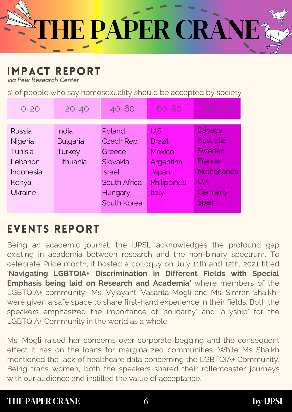

### IMPACT REPORT

*via Pew Research Center*

% of people who say homosexuality should be accepted by society

| $O - 2O$       | $20 - 40$       | $40 - 60$           | 60-80         | 80-100             |
|----------------|-----------------|---------------------|---------------|--------------------|
|                |                 |                     |               |                    |
| Russia         | India           | Poland              | U.S.          | Canada             |
| Nigeria        | <b>Bulgaria</b> | Czech Rep.          | <b>Brazil</b> | Australia          |
| Tunisia        | <b>Turkey</b>   | Greece              | <b>Mexico</b> | Sweden             |
| Lebanon        | Lithuania       | Slovakia            | Argentina     | France             |
| Indonesia      |                 | <b>Israel</b>       | Japan         | <b>Netherlands</b> |
| Kenya          |                 | <b>South Africa</b> | Philippines   | U.K.               |
| <b>Ukraine</b> |                 | Hungary             | Italy         | Germany            |
|                |                 | South Korea         |               | Spain              |
|                |                 |                     |               |                    |

### EVENTS REPORT

Being an academic journal, the IJPSL acknowledges the profound gap existing in academia between research and the non-binary spectrum. To celebrate Pride month, it hosted a colloquy on July 11th and 12th, 2021 titled '**Navigating LGBTQIA+ Discrimination in Different Fields with Special Emphasis being laid on Research and Academia'** where members of the LGBTQIA+ community- Ms. Vyjayanti Vasanta Mogli and Ms. Simran Shaikhwere given a safe space to share first-hand experience in their fields. Both the speakers emphasized the importance of 'solidarity' and 'allyship' for the LGBTQIA+ Community in the world as a whole.

Ms. Mogli raised her concerns over corporate begging and the consequent effect it has on the loans for marginalized communities. While Ms Shaikh mentioned the lack of healthcare data concerning the LGBTQIA+ Community. Being trans women, both the speakers shared their rollercoaster journeys with our audience and instilled the value of acceptance.

#### THE PAPER CRANE 6 by IJPSL